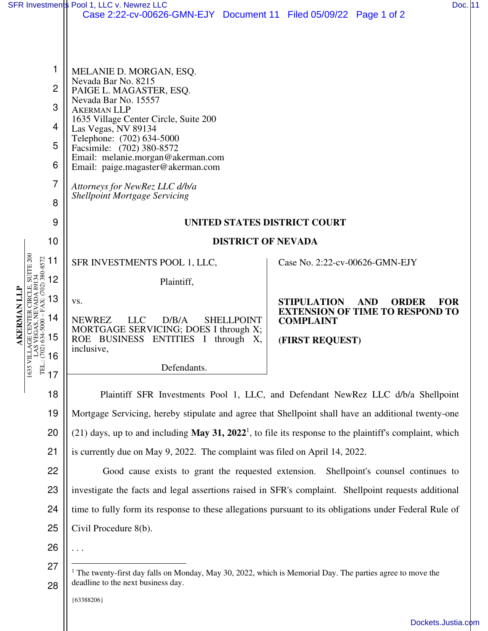|                                                                                 | SFR Investments Pool 1, LLC v. Newrez LLC                                                                                                                                                                                                                                                               | Doc. 11                                                                                           |  |  |
|---------------------------------------------------------------------------------|---------------------------------------------------------------------------------------------------------------------------------------------------------------------------------------------------------------------------------------------------------------------------------------------------------|---------------------------------------------------------------------------------------------------|--|--|
|                                                                                 | Case 2:22-cv-00626-GMN-EJY Document 11 Filed 05/09/22 Page 1 of 2                                                                                                                                                                                                                                       |                                                                                                   |  |  |
|                                                                                 |                                                                                                                                                                                                                                                                                                         |                                                                                                   |  |  |
|                                                                                 |                                                                                                                                                                                                                                                                                                         |                                                                                                   |  |  |
| 1                                                                               | MELANIE D. MORGAN, ESQ.                                                                                                                                                                                                                                                                                 |                                                                                                   |  |  |
| $\overline{2}$                                                                  | Nevada Bar No. 8215<br>PAIGE L. MAGASTER, ESQ.<br>Nevada Bar No. 15557<br>3<br><b>AKERMAN LLP</b><br>1635 Village Center Circle, Suite 200<br>4<br>Las Vegas, NV 89134<br>Telephone: (702) 634-5000<br>5<br>Facsimile: (702) 380-8572<br>Email: melanie.morgan@akerman.com<br>6                         |                                                                                                   |  |  |
|                                                                                 |                                                                                                                                                                                                                                                                                                         |                                                                                                   |  |  |
|                                                                                 |                                                                                                                                                                                                                                                                                                         |                                                                                                   |  |  |
|                                                                                 |                                                                                                                                                                                                                                                                                                         |                                                                                                   |  |  |
|                                                                                 |                                                                                                                                                                                                                                                                                                         |                                                                                                   |  |  |
| 7                                                                               | Email: paige.magaster@akerman.com                                                                                                                                                                                                                                                                       |                                                                                                   |  |  |
| 8                                                                               | Attorneys for NewRez LLC d/b/a<br><b>Shellpoint Mortgage Servicing</b>                                                                                                                                                                                                                                  |                                                                                                   |  |  |
|                                                                                 |                                                                                                                                                                                                                                                                                                         |                                                                                                   |  |  |
| 9                                                                               | UNITED STATES DISTRICT COURT                                                                                                                                                                                                                                                                            |                                                                                                   |  |  |
| 10                                                                              | <b>DISTRICT OF NEVADA</b>                                                                                                                                                                                                                                                                               |                                                                                                   |  |  |
| SUITE <sub>200</sub><br>11                                                      | SFR INVESTMENTS POOL 1, LLC,                                                                                                                                                                                                                                                                            | Case No. 2:22-cv-00626-GMN-EJY                                                                    |  |  |
| 3VADA 89134<br>FAX: (702) 380-8572<br>12<br>89                                  | Plaintiff,                                                                                                                                                                                                                                                                                              |                                                                                                   |  |  |
| R CIRCLE<br>13                                                                  | VS.                                                                                                                                                                                                                                                                                                     | STIPULATION<br><b>AND</b><br><b>ORDER</b><br><b>FOR</b><br><b>EXTENSION OF TIME TO RESPOND TO</b> |  |  |
| <b>KERMAN</b><br>$634 - 5000 -$<br>14                                           | <b>NEWREZ</b><br><b>LLC</b><br>D/B/A<br><b>SHELLPOINT</b><br>MORTGAGE SERVICING; DOES I through X;                                                                                                                                                                                                      | <b>COMPLAINT</b>                                                                                  |  |  |
| 15                                                                              | BUSINESS ENTITIES I through X,<br>ROE                                                                                                                                                                                                                                                                   | (FIRST REQUEST)                                                                                   |  |  |
| 48)<br>$\frac{13}{15}$<br>$\frac{13}{15}$<br>$\frac{13}{17}$<br>$\frac{13}{17}$ | inclusive,                                                                                                                                                                                                                                                                                              |                                                                                                   |  |  |
|                                                                                 | Defendants.                                                                                                                                                                                                                                                                                             |                                                                                                   |  |  |
| 18                                                                              | Plaintiff SFR Investments Pool 1, LLC, and Defendant NewRez LLC d/b/a Shellpoint                                                                                                                                                                                                                        |                                                                                                   |  |  |
| 19                                                                              | Mortgage Servicing, hereby stipulate and agree that Shellpoint shall have an additional twenty-one                                                                                                                                                                                                      |                                                                                                   |  |  |
| 20                                                                              | (21) days, up to and including May 31, 2022 <sup>1</sup> , to file its response to the plaintiff's complaint, which<br>21<br>is currently due on May 9, 2022. The complaint was filed on April 14, 2022.<br>22<br>Good cause exists to grant the requested extension. Shellpoint's counsel continues to |                                                                                                   |  |  |
|                                                                                 |                                                                                                                                                                                                                                                                                                         |                                                                                                   |  |  |
|                                                                                 |                                                                                                                                                                                                                                                                                                         |                                                                                                   |  |  |
| 23                                                                              | investigate the facts and legal assertions raised in SFR's complaint. Shellpoint requests additional                                                                                                                                                                                                    |                                                                                                   |  |  |
| 24                                                                              | time to fully form its response to these allegations pursuant to its obligations under Federal Rule of<br>Civil Procedure 8(b).                                                                                                                                                                         |                                                                                                   |  |  |
| 25                                                                              |                                                                                                                                                                                                                                                                                                         |                                                                                                   |  |  |
| 26                                                                              | <sup>1</sup> The twenty-first day falls on Monday, May 30, 2022, which is Memorial Day. The parties agree to move the<br>deadline to the next business day.                                                                                                                                             |                                                                                                   |  |  |
| 27                                                                              |                                                                                                                                                                                                                                                                                                         |                                                                                                   |  |  |
| 28                                                                              |                                                                                                                                                                                                                                                                                                         |                                                                                                   |  |  |

{63388206}